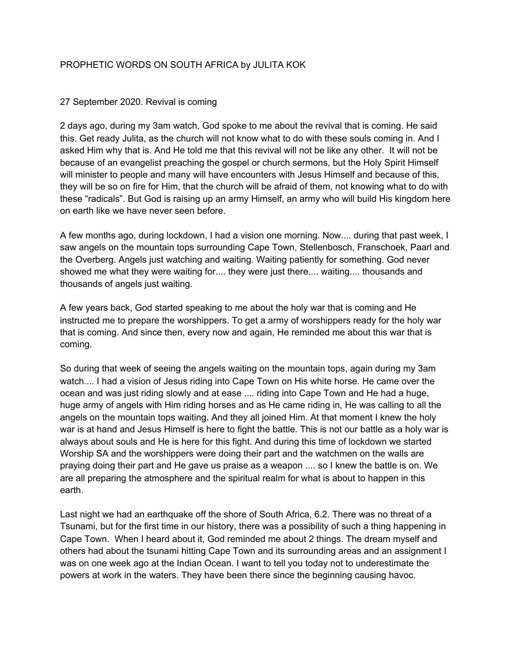## PROPHETIC WORDS ON SOUTH AFRICA by JULITA KOK

## 27 September 2020. Revival is coming

2 days ago, during my 3am watch, God spoke to me about the revival that is coming. He said this. Get ready Julita, as the church will not know what to do with these souls coming in. And I asked Him why that is. And He told me that this revival will not be like any other. It will not be because of an evangelist preaching the gospel or church sermons, but the Holy Spirit Himself will minister to people and many will have encounters with Jesus Himself and because of this, they will be so on fire for Him, that the church will be afraid of them, not knowing what to do with these "radicals". But God is raising up an army Himself, an army who will build His kingdom here on earth like we have never seen before.

A few months ago, during lockdown, I had a vision one morning. Now.... during that past week, I saw angels on the mountain tops surrounding Cape Town, Stellenbosch, Franschoek, Paarl and the Overberg. Angels just watching and waiting. Waiting patiently for something. God never showed me what they were waiting for.... they were just there.... waiting.... thousands and thousands of angels just waiting.

A few years back, God started speaking to me about the holy war that is coming and He instructed me to prepare the worshippers. To get a army of worshippers ready for the holy war that is coming. And since then, every now and again, He reminded me about this war that is coming.

So during that week of seeing the angels waiting on the mountain tops, again during my 3am watch.... I had a vision of Jesus riding into Cape Town on His white horse. He came over the ocean and was just riding slowly and at ease .... riding into Cape Town and He had a huge, huge army of angels with Him riding horses and as He came riding in, He was calling to all the angels on the mountain tops waiting. And they all joined Him. At that moment I knew the holy war is at hand and Jesus Himself is here to fight the battle. This is not our battle as a holy war is always about souls and He is here for this fight. And during this time of lockdown we started Worship SA and the worshippers were doing their part and the watchmen on the walls are praying doing their part and He gave us praise as a weapon .... so I knew the battle is on. We are all preparing the atmosphere and the spiritual realm for what is about to happen in this earth.

Last night we had an earthquake off the shore of South Africa, 6.2. There was no threat of a Tsunami, but for the first time in our history, there was a possibility of such a thing happening in Cape Town. When I heard about it, God reminded me about 2 things. The dream myself and others had about the tsunami hitting Cape Town and its surrounding areas and an assignment I was on one week ago at the Indian Ocean. I want to tell you today not to underestimate the powers at work in the waters. They have been there since the beginning causing havoc.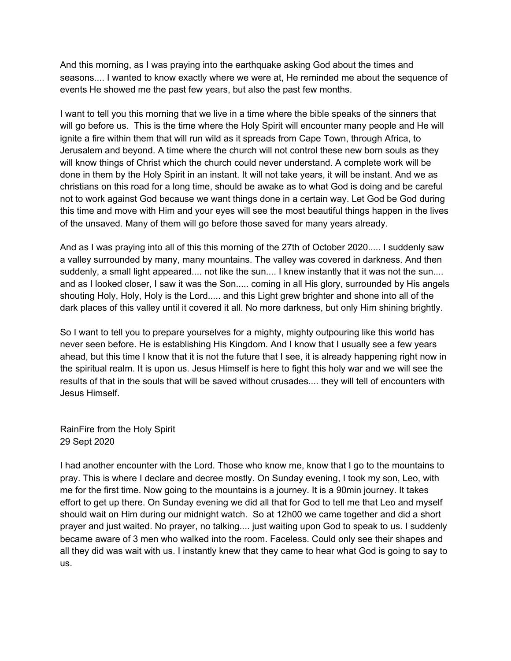And this morning, as I was praying into the earthquake asking God about the times and seasons.... I wanted to know exactly where we were at, He reminded me about the sequence of events He showed me the past few years, but also the past few months.

I want to tell you this morning that we live in a time where the bible speaks of the sinners that will go before us. This is the time where the Holy Spirit will encounter many people and He will ignite a fire within them that will run wild as it spreads from Cape Town, through Africa, to Jerusalem and beyond. A time where the church will not control these new born souls as they will know things of Christ which the church could never understand. A complete work will be done in them by the Holy Spirit in an instant. It will not take years, it will be instant. And we as christians on this road for a long time, should be awake as to what God is doing and be careful not to work against God because we want things done in a certain way. Let God be God during this time and move with Him and your eyes will see the most beautiful things happen in the lives of the unsaved. Many of them will go before those saved for many years already.

And as I was praying into all of this this morning of the 27th of October 2020..... I suddenly saw a valley surrounded by many, many mountains. The valley was covered in darkness. And then suddenly, a small light appeared.... not like the sun.... I knew instantly that it was not the sun.... and as I looked closer, I saw it was the Son..... coming in all His glory, surrounded by His angels shouting Holy, Holy, Holy is the Lord..... and this Light grew brighter and shone into all of the dark places of this valley until it covered it all. No more darkness, but only Him shining brightly.

So I want to tell you to prepare yourselves for a mighty, mighty outpouring like this world has never seen before. He is establishing His Kingdom. And I know that I usually see a few years ahead, but this time I know that it is not the future that I see, it is already happening right now in the spiritual realm. It is upon us. Jesus Himself is here to fight this holy war and we will see the results of that in the souls that will be saved without crusades.... they will tell of encounters with Jesus Himself.

RainFire from the Holy Spirit 29 Sept 2020

I had another encounter with the Lord. Those who know me, know that I go to the mountains to pray. This is where I declare and decree mostly. On Sunday evening, I took my son, Leo, with me for the first time. Now going to the mountains is a journey. It is a 90min journey. It takes effort to get up there. On Sunday evening we did all that for God to tell me that Leo and myself should wait on Him during our midnight watch. So at 12h00 we came together and did a short prayer and just waited. No prayer, no talking.... just waiting upon God to speak to us. I suddenly became aware of 3 men who walked into the room. Faceless. Could only see their shapes and all they did was wait with us. I instantly knew that they came to hear what God is going to say to us.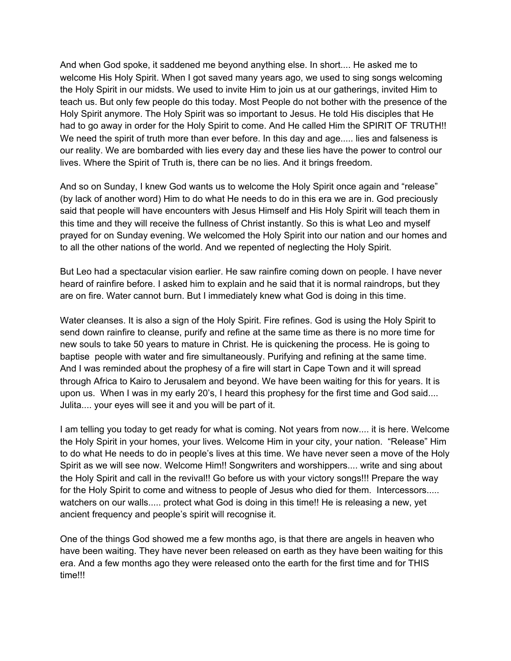And when God spoke, it saddened me beyond anything else. In short.... He asked me to welcome His Holy Spirit. When I got saved many years ago, we used to sing songs welcoming the Holy Spirit in our midsts. We used to invite Him to join us at our gatherings, invited Him to teach us. But only few people do this today. Most People do not bother with the presence of the Holy Spirit anymore. The Holy Spirit was so important to Jesus. He told His disciples that He had to go away in order for the Holy Spirit to come. And He called Him the SPIRIT OF TRUTH!! We need the spirit of truth more than ever before. In this day and age..... lies and falseness is our reality. We are bombarded with lies every day and these lies have the power to control our lives. Where the Spirit of Truth is, there can be no lies. And it brings freedom.

And so on Sunday, I knew God wants us to welcome the Holy Spirit once again and "release" (by lack of another word) Him to do what He needs to do in this era we are in. God preciously said that people will have encounters with Jesus Himself and His Holy Spirit will teach them in this time and they will receive the fullness of Christ instantly. So this is what Leo and myself prayed for on Sunday evening. We welcomed the Holy Spirit into our nation and our homes and to all the other nations of the world. And we repented of neglecting the Holy Spirit.

But Leo had a spectacular vision earlier. He saw rainfire coming down on people. I have never heard of rainfire before. I asked him to explain and he said that it is normal raindrops, but they are on fire. Water cannot burn. But I immediately knew what God is doing in this time.

Water cleanses. It is also a sign of the Holy Spirit. Fire refines. God is using the Holy Spirit to send down rainfire to cleanse, purify and refine at the same time as there is no more time for new souls to take 50 years to mature in Christ. He is quickening the process. He is going to baptise people with water and fire simultaneously. Purifying and refining at the same time. And I was reminded about the prophesy of a fire will start in Cape Town and it will spread through Africa to Kairo to Jerusalem and beyond. We have been waiting for this for years. It is upon us. When I was in my early 20's, I heard this prophesy for the first time and God said.... Julita.... your eyes will see it and you will be part of it.

I am telling you today to get ready for what is coming. Not years from now.... it is here. Welcome the Holy Spirit in your homes, your lives. Welcome Him in your city, your nation. "Release" Him to do what He needs to do in people's lives at this time. We have never seen a move of the Holy Spirit as we will see now. Welcome Him!! Songwriters and worshippers.... write and sing about the Holy Spirit and call in the revival!! Go before us with your victory songs!!! Prepare the way for the Holy Spirit to come and witness to people of Jesus who died for them. Intercessors..... watchers on our walls..... protect what God is doing in this time!! He is releasing a new, yet ancient frequency and people's spirit will recognise it.

One of the things God showed me a few months ago, is that there are angels in heaven who have been waiting. They have never been released on earth as they have been waiting for this era. And a few months ago they were released onto the earth for the first time and for THIS time!!!